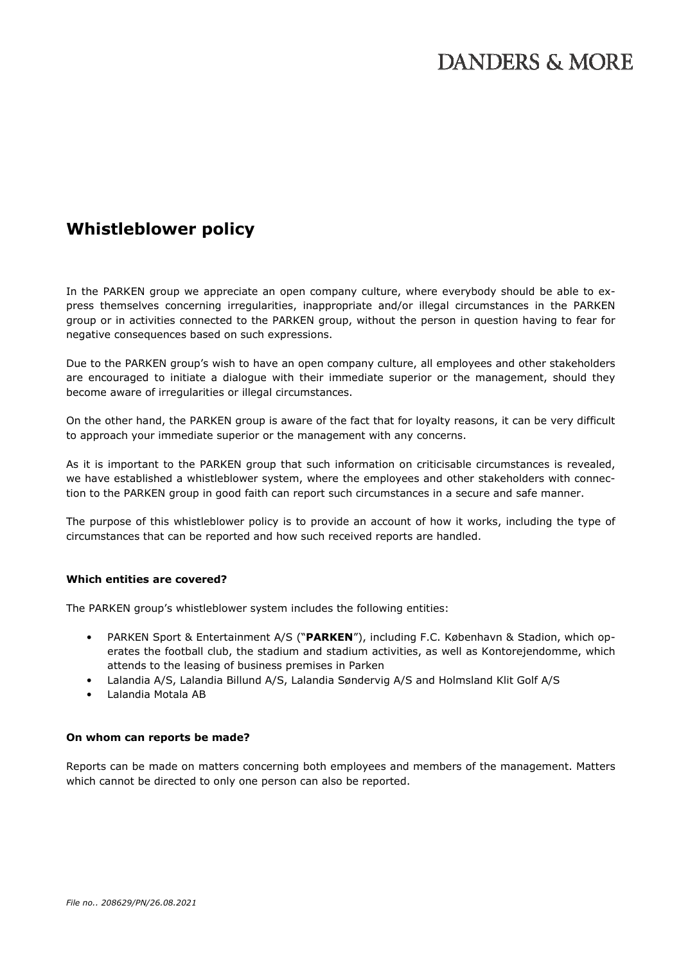# **Whistleblower policy**

In the PARKEN group we appreciate an open company culture, where everybody should be able to express themselves concerning irregularities, inappropriate and/or illegal circumstances in the PARKEN group or in activities connected to the PARKEN group, without the person in question having to fear for negative consequences based on such expressions.

Due to the PARKEN group's wish to have an open company culture, all employees and other stakeholders are encouraged to initiate a dialogue with their immediate superior or the management, should they become aware of irregularities or illegal circumstances.

On the other hand, the PARKEN group is aware of the fact that for loyalty reasons, it can be very difficult to approach your immediate superior or the management with any concerns.

As it is important to the PARKEN group that such information on criticisable circumstances is revealed, we have established a whistleblower system, where the employees and other stakeholders with connection to the PARKEN group in good faith can report such circumstances in a secure and safe manner.

The purpose of this whistleblower policy is to provide an account of how it works, including the type of circumstances that can be reported and how such received reports are handled.

## **Which entities are covered?**

The PARKEN group's whistleblower system includes the following entities:

- PARKEN Sport & Entertainment A/S ("**PARKEN**"), including F.C. København & Stadion, which operates the football club, the stadium and stadium activities, as well as Kontorejendomme, which attends to the leasing of business premises in Parken
- Lalandia A/S, Lalandia Billund A/S, Lalandia Søndervig A/S and Holmsland Klit Golf A/S
- Lalandia Motala AB

### **On whom can reports be made?**

Reports can be made on matters concerning both employees and members of the management. Matters which cannot be directed to only one person can also be reported.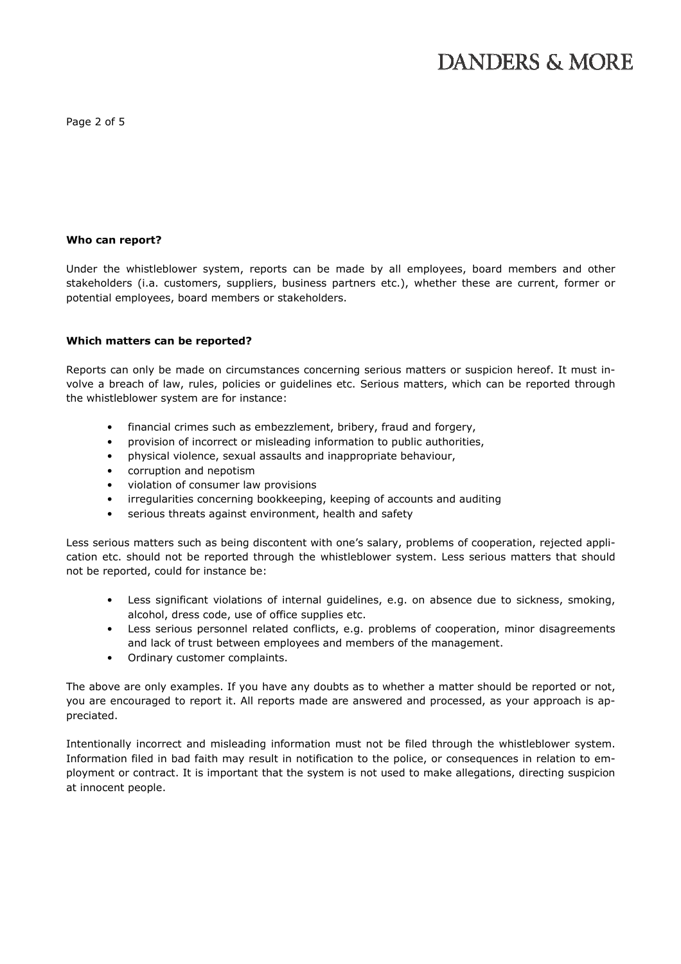Page 2 of 5

#### **Who can report?**

Under the whistleblower system, reports can be made by all employees, board members and other stakeholders (i.a. customers, suppliers, business partners etc.), whether these are current, former or potential employees, board members or stakeholders.

### **Which matters can be reported?**

Reports can only be made on circumstances concerning serious matters or suspicion hereof. It must involve a breach of law, rules, policies or guidelines etc. Serious matters, which can be reported through the whistleblower system are for instance:

- financial crimes such as embezzlement, bribery, fraud and forgery,
- provision of incorrect or misleading information to public authorities,
- physical violence, sexual assaults and inappropriate behaviour,
- corruption and nepotism
- violation of consumer law provisions
- irregularities concerning bookkeeping, keeping of accounts and auditing
- serious threats against environment, health and safety

Less serious matters such as being discontent with one's salary, problems of cooperation, rejected application etc. should not be reported through the whistleblower system. Less serious matters that should not be reported, could for instance be:

- Less significant violations of internal guidelines, e.g. on absence due to sickness, smoking, alcohol, dress code, use of office supplies etc.
- Less serious personnel related conflicts, e.g. problems of cooperation, minor disagreements and lack of trust between employees and members of the management.
- Ordinary customer complaints.

The above are only examples. If you have any doubts as to whether a matter should be reported or not, you are encouraged to report it. All reports made are answered and processed, as your approach is appreciated.

Intentionally incorrect and misleading information must not be filed through the whistleblower system. Information filed in bad faith may result in notification to the police, or consequences in relation to employment or contract. It is important that the system is not used to make allegations, directing suspicion at innocent people.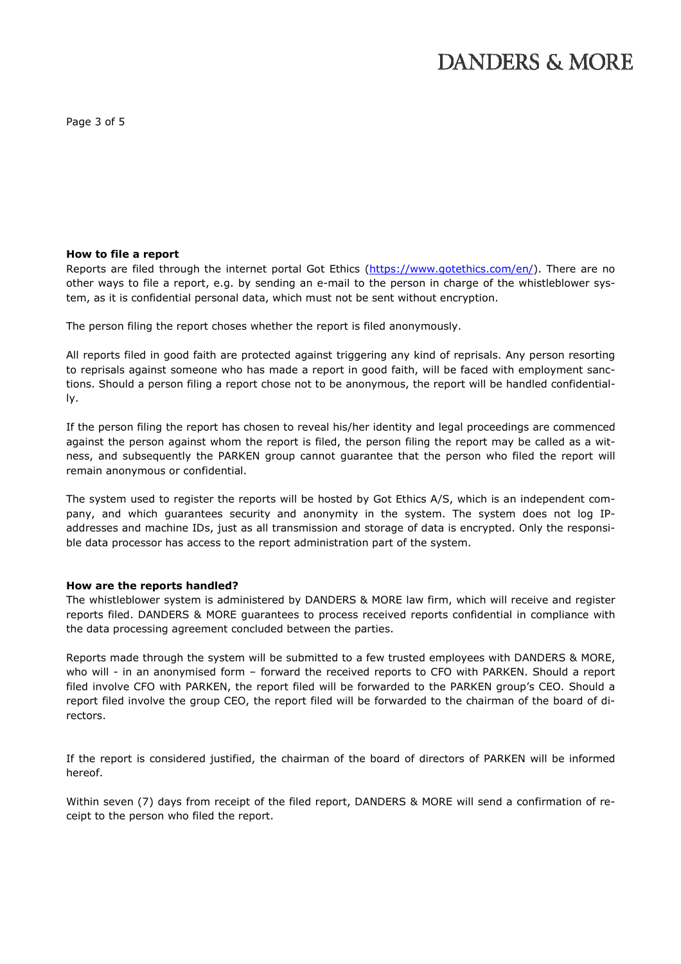Page 3 of 5

#### **How to file a report**

Reports are filed through the internet portal Got Ethics (https://www.gotethics.com/en/). There are no other ways to file a report, e.g. by sending an e-mail to the person in charge of the whistleblower system, as it is confidential personal data, which must not be sent without encryption.

The person filing the report choses whether the report is filed anonymously.

All reports filed in good faith are protected against triggering any kind of reprisals. Any person resorting to reprisals against someone who has made a report in good faith, will be faced with employment sanctions. Should a person filing a report chose not to be anonymous, the report will be handled confidentially.

If the person filing the report has chosen to reveal his/her identity and legal proceedings are commenced against the person against whom the report is filed, the person filing the report may be called as a witness, and subsequently the PARKEN group cannot guarantee that the person who filed the report will remain anonymous or confidential.

The system used to register the reports will be hosted by Got Ethics A/S, which is an independent company, and which guarantees security and anonymity in the system. The system does not log IPaddresses and machine IDs, just as all transmission and storage of data is encrypted. Only the responsible data processor has access to the report administration part of the system.

### **How are the reports handled?**

The whistleblower system is administered by DANDERS & MORE law firm, which will receive and register reports filed. DANDERS & MORE guarantees to process received reports confidential in compliance with the data processing agreement concluded between the parties.

Reports made through the system will be submitted to a few trusted employees with DANDERS & MORE, who will - in an anonymised form – forward the received reports to CFO with PARKEN. Should a report filed involve CFO with PARKEN, the report filed will be forwarded to the PARKEN group's CEO. Should a report filed involve the group CEO, the report filed will be forwarded to the chairman of the board of directors.

If the report is considered justified, the chairman of the board of directors of PARKEN will be informed hereof.

Within seven (7) days from receipt of the filed report, DANDERS & MORE will send a confirmation of receipt to the person who filed the report.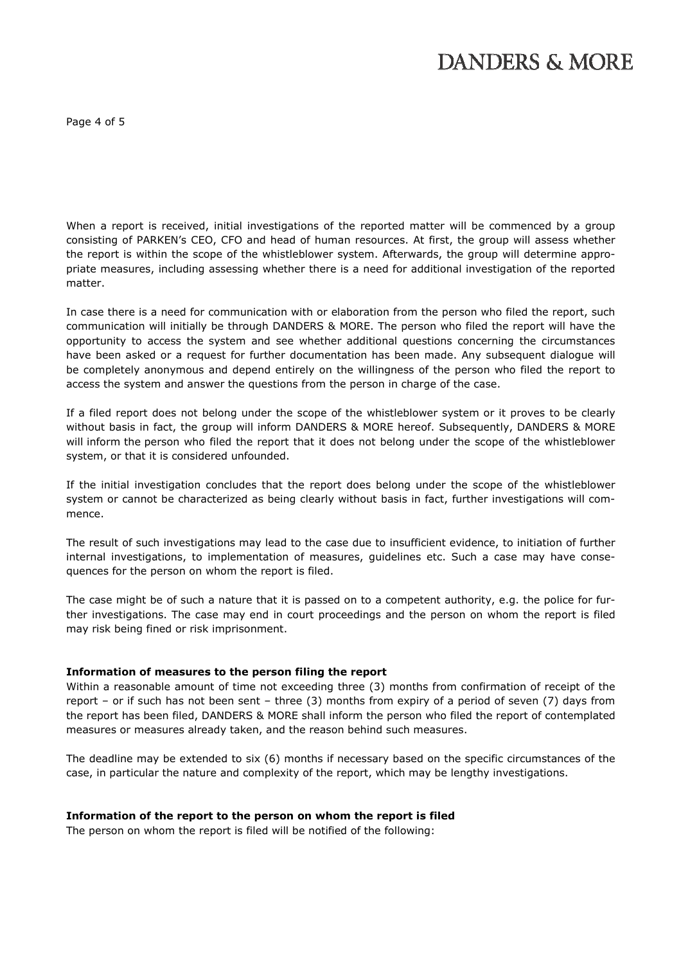Page 4 of 5

When a report is received, initial investigations of the reported matter will be commenced by a group consisting of PARKEN's CEO, CFO and head of human resources. At first, the group will assess whether the report is within the scope of the whistleblower system. Afterwards, the group will determine appropriate measures, including assessing whether there is a need for additional investigation of the reported matter.

In case there is a need for communication with or elaboration from the person who filed the report, such communication will initially be through DANDERS & MORE. The person who filed the report will have the opportunity to access the system and see whether additional questions concerning the circumstances have been asked or a request for further documentation has been made. Any subsequent dialogue will be completely anonymous and depend entirely on the willingness of the person who filed the report to access the system and answer the questions from the person in charge of the case.

If a filed report does not belong under the scope of the whistleblower system or it proves to be clearly without basis in fact, the group will inform DANDERS & MORE hereof. Subsequently, DANDERS & MORE will inform the person who filed the report that it does not belong under the scope of the whistleblower system, or that it is considered unfounded.

If the initial investigation concludes that the report does belong under the scope of the whistleblower system or cannot be characterized as being clearly without basis in fact, further investigations will commence.

The result of such investigations may lead to the case due to insufficient evidence, to initiation of further internal investigations, to implementation of measures, guidelines etc. Such a case may have consequences for the person on whom the report is filed.

The case might be of such a nature that it is passed on to a competent authority, e.g. the police for further investigations. The case may end in court proceedings and the person on whom the report is filed may risk being fined or risk imprisonment.

### **Information of measures to the person filing the report**

Within a reasonable amount of time not exceeding three (3) months from confirmation of receipt of the report – or if such has not been sent – three (3) months from expiry of a period of seven (7) days from the report has been filed, DANDERS & MORE shall inform the person who filed the report of contemplated measures or measures already taken, and the reason behind such measures.

The deadline may be extended to six (6) months if necessary based on the specific circumstances of the case, in particular the nature and complexity of the report, which may be lengthy investigations.

### **Information of the report to the person on whom the report is filed**

The person on whom the report is filed will be notified of the following: